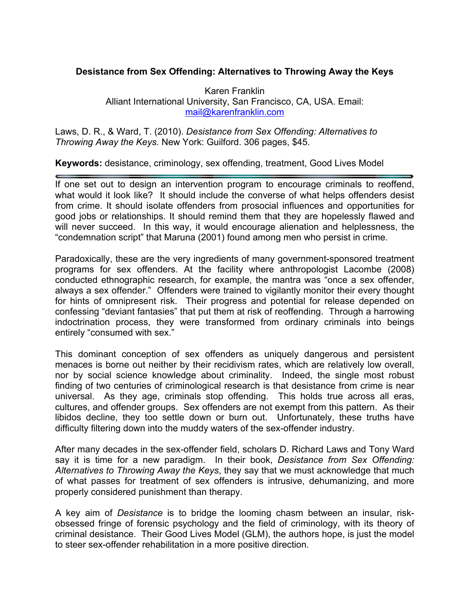## **Desistance from Sex Offending: Alternatives to Throwing Away the Keys**

Karen Franklin Alliant International University, San Francisco, CA, USA. Email: mail@karenfranklin.com

Laws, D. R., & Ward, T. (2010). *Desistance from Sex Offending: Alternatives to Throwing Away the Keys.* New York: Guilford. 306 pages, \$45.

**Keywords:** desistance, criminology, sex offending, treatment, Good Lives Model

If one set out to design an intervention program to encourage criminals to reoffend, what would it look like? It should include the converse of what helps offenders desist from crime. It should isolate offenders from prosocial influences and opportunities for good jobs or relationships. It should remind them that they are hopelessly flawed and will never succeed. In this way, it would encourage alienation and helplessness, the "condemnation script" that Maruna (2001) found among men who persist in crime.

Paradoxically, these are the very ingredients of many government-sponsored treatment programs for sex offenders. At the facility where anthropologist Lacombe (2008) conducted ethnographic research, for example, the mantra was "once a sex offender, always a sex offender." Offenders were trained to vigilantly monitor their every thought for hints of omnipresent risk. Their progress and potential for release depended on confessing "deviant fantasies" that put them at risk of reoffending. Through a harrowing indoctrination process, they were transformed from ordinary criminals into beings entirely "consumed with sex."

This dominant conception of sex offenders as uniquely dangerous and persistent menaces is borne out neither by their recidivism rates, which are relatively low overall, nor by social science knowledge about criminality. Indeed, the single most robust finding of two centuries of criminological research is that desistance from crime is near universal. As they age, criminals stop offending. This holds true across all eras, cultures, and offender groups. Sex offenders are not exempt from this pattern. As their libidos decline, they too settle down or burn out. Unfortunately, these truths have difficulty filtering down into the muddy waters of the sex-offender industry.

After many decades in the sex-offender field, scholars D. Richard Laws and Tony Ward say it is time for a new paradigm. In their book, *Desistance from Sex Offending: Alternatives to Throwing Away the Keys*, they say that we must acknowledge that much of what passes for treatment of sex offenders is intrusive, dehumanizing, and more properly considered punishment than therapy.

A key aim of *Desistance* is to bridge the looming chasm between an insular, riskobsessed fringe of forensic psychology and the field of criminology, with its theory of criminal desistance. Their Good Lives Model (GLM), the authors hope, is just the model to steer sex-offender rehabilitation in a more positive direction.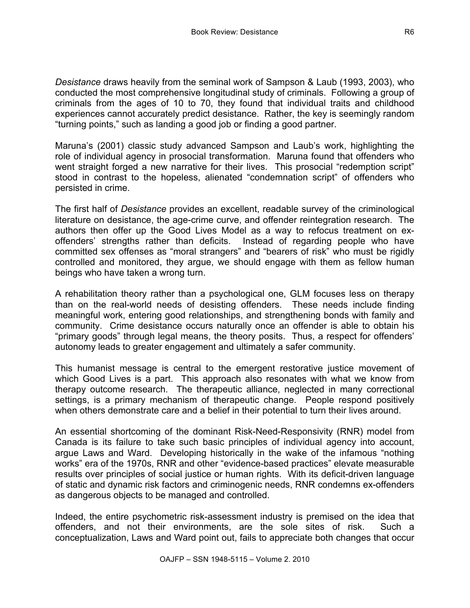*Desistance* draws heavily from the seminal work of Sampson & Laub (1993, 2003), who conducted the most comprehensive longitudinal study of criminals. Following a group of criminals from the ages of 10 to 70, they found that individual traits and childhood experiences cannot accurately predict desistance. Rather, the key is seemingly random "turning points," such as landing a good job or finding a good partner.

Maruna's (2001) classic study advanced Sampson and Laub's work, highlighting the role of individual agency in prosocial transformation. Maruna found that offenders who went straight forged a new narrative for their lives. This prosocial "redemption script" stood in contrast to the hopeless, alienated "condemnation script" of offenders who persisted in crime.

The first half of *Desistance* provides an excellent, readable survey of the criminological literature on desistance, the age-crime curve, and offender reintegration research. The authors then offer up the Good Lives Model as a way to refocus treatment on exoffenders' strengths rather than deficits. Instead of regarding people who have committed sex offenses as "moral strangers" and "bearers of risk" who must be rigidly controlled and monitored, they argue, we should engage with them as fellow human beings who have taken a wrong turn.

A rehabilitation theory rather than a psychological one, GLM focuses less on therapy than on the real-world needs of desisting offenders. These needs include finding meaningful work, entering good relationships, and strengthening bonds with family and community. Crime desistance occurs naturally once an offender is able to obtain his "primary goods" through legal means, the theory posits. Thus, a respect for offenders' autonomy leads to greater engagement and ultimately a safer community.

This humanist message is central to the emergent restorative justice movement of which Good Lives is a part. This approach also resonates with what we know from therapy outcome research. The therapeutic alliance, neglected in many correctional settings, is a primary mechanism of therapeutic change. People respond positively when others demonstrate care and a belief in their potential to turn their lives around.

An essential shortcoming of the dominant Risk-Need-Responsivity (RNR) model from Canada is its failure to take such basic principles of individual agency into account, argue Laws and Ward. Developing historically in the wake of the infamous "nothing works" era of the 1970s, RNR and other "evidence-based practices" elevate measurable results over principles of social justice or human rights. With its deficit-driven language of static and dynamic risk factors and criminogenic needs, RNR condemns ex-offenders as dangerous objects to be managed and controlled.

Indeed, the entire psychometric risk-assessment industry is premised on the idea that offenders, and not their environments, are the sole sites of risk. Such a conceptualization, Laws and Ward point out, fails to appreciate both changes that occur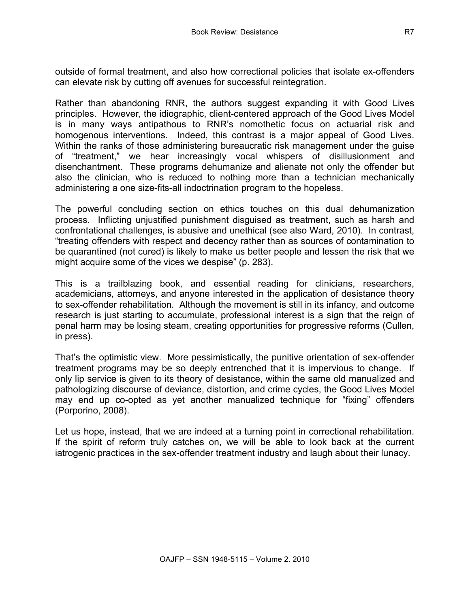outside of formal treatment, and also how correctional policies that isolate ex-offenders can elevate risk by cutting off avenues for successful reintegration.

Rather than abandoning RNR, the authors suggest expanding it with Good Lives principles. However, the idiographic, client-centered approach of the Good Lives Model is in many ways antipathous to RNR's nomothetic focus on actuarial risk and homogenous interventions. Indeed, this contrast is a major appeal of Good Lives. Within the ranks of those administering bureaucratic risk management under the guise of "treatment," we hear increasingly vocal whispers of disillusionment and disenchantment. These programs dehumanize and alienate not only the offender but also the clinician, who is reduced to nothing more than a technician mechanically administering a one size-fits-all indoctrination program to the hopeless.

The powerful concluding section on ethics touches on this dual dehumanization process. Inflicting unjustified punishment disguised as treatment, such as harsh and confrontational challenges, is abusive and unethical (see also Ward, 2010). In contrast, "treating offenders with respect and decency rather than as sources of contamination to be quarantined (not cured) is likely to make us better people and lessen the risk that we might acquire some of the vices we despise" (p. 283).

This is a trailblazing book, and essential reading for clinicians, researchers, academicians, attorneys, and anyone interested in the application of desistance theory to sex-offender rehabilitation. Although the movement is still in its infancy, and outcome research is just starting to accumulate, professional interest is a sign that the reign of penal harm may be losing steam, creating opportunities for progressive reforms (Cullen, in press).

That's the optimistic view. More pessimistically, the punitive orientation of sex-offender treatment programs may be so deeply entrenched that it is impervious to change. If only lip service is given to its theory of desistance, within the same old manualized and pathologizing discourse of deviance, distortion, and crime cycles, the Good Lives Model may end up co-opted as yet another manualized technique for "fixing" offenders (Porporino, 2008).

Let us hope, instead, that we are indeed at a turning point in correctional rehabilitation. If the spirit of reform truly catches on, we will be able to look back at the current iatrogenic practices in the sex-offender treatment industry and laugh about their lunacy.